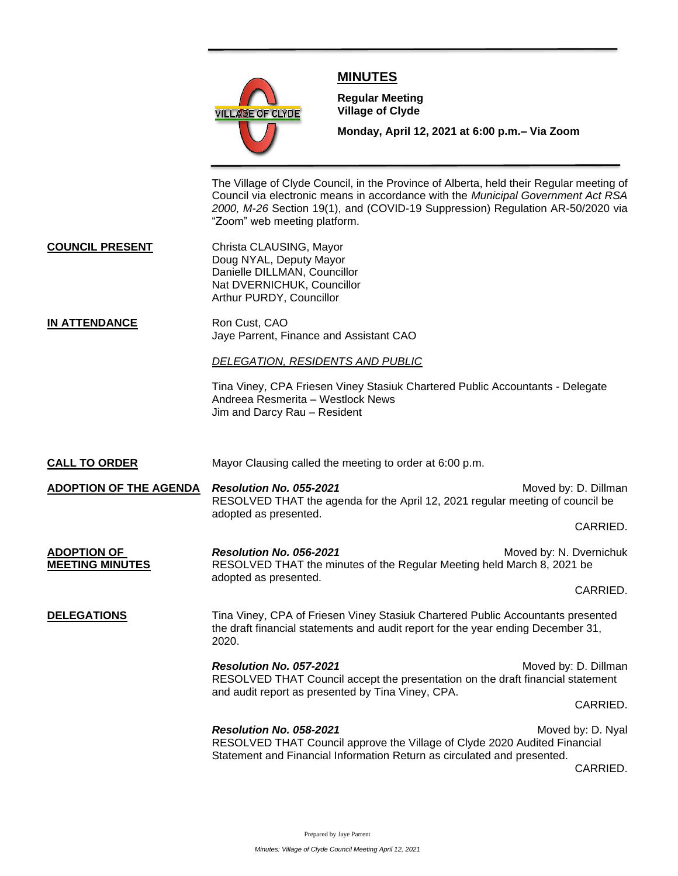

## **MINUTES**

**Meeting**

**Regular Meeting Village of Clyde**

**Monday, April 12, 2021 at 6:00 p.m.– Via Zoom** 

The Village of Clyde Council, in the Province of Alberta, held their Regular meeting of Council via electronic means in accordance with the *Municipal Government Act RSA 2000, M-26* Section 19(1), and (COVID-19 Suppression) Regulation AR-50/2020 via "Zoom" web meeting platform.

**COUNCIL PRESENT** Christa CLAUSING, Mayor Doug NYAL, Deputy Mayor Danielle DILLMAN, Councillor Nat DVERNICHUK, Councillor Arthur PURDY, Councillor

**IN ATTENDANCE** Ron Cust, CAO Jaye Parrent, Finance and Assistant CAO

*DELEGATION, RESIDENTS AND PUBLIC*

Tina Viney, CPA Friesen Viney Stasiuk Chartered Public Accountants - Delegate Andreea Resmerita – Westlock News Jim and Darcy Rau – Resident

**CALL TO ORDER** Mayor Clausing called the meeting to order at 6:00 p.m. **ADOPTION OF THE AGENDA** *Resolution No. 055-2021* **Moved by: D. Dillman** RESOLVED THAT the agenda for the April 12, 2021 regular meeting of council be adopted as presented. CARRIED. **ADOPTION OF** *Resolution No. 056-2021* Moved by: N. Dvernichuk **MEETING MINUTES** RESOLVED THAT the minutes of the Regular Meeting held March 8, 2021 be adopted as presented. CARRIED. **DELEGATIONS** Tina Viney, CPA of Friesen Viney Stasiuk Chartered Public Accountants presented the draft financial statements and audit report for the year ending December 31, 2020. *Resolution No. 057-2021* Moved by: D. Dillman RESOLVED THAT Council accept the presentation on the draft financial statement and audit report as presented by Tina Viney, CPA. CARRIED. **Resolution No. 058-2021** Moved by: D. Nyal RESOLVED THAT Council approve the Village of Clyde 2020 Audited Financial Statement and Financial Information Return as circulated and presented. CARRIED.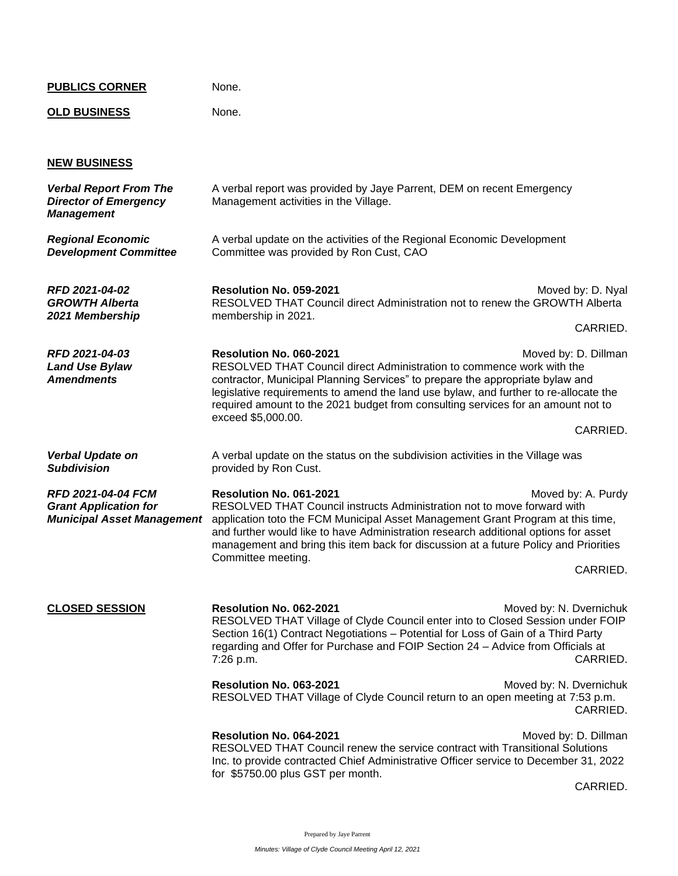| <b>PUBLICS CORNER</b>                                                              | None.                                                                                                                                                                                                                                                                                                                                                                                                                                              |  |
|------------------------------------------------------------------------------------|----------------------------------------------------------------------------------------------------------------------------------------------------------------------------------------------------------------------------------------------------------------------------------------------------------------------------------------------------------------------------------------------------------------------------------------------------|--|
| <b>OLD BUSINESS</b>                                                                | None.                                                                                                                                                                                                                                                                                                                                                                                                                                              |  |
|                                                                                    |                                                                                                                                                                                                                                                                                                                                                                                                                                                    |  |
| <b>NEW BUSINESS</b>                                                                |                                                                                                                                                                                                                                                                                                                                                                                                                                                    |  |
| <b>Verbal Report From The</b><br><b>Director of Emergency</b><br><b>Management</b> | A verbal report was provided by Jaye Parrent, DEM on recent Emergency<br>Management activities in the Village.                                                                                                                                                                                                                                                                                                                                     |  |
| <b>Regional Economic</b><br><b>Development Committee</b>                           | A verbal update on the activities of the Regional Economic Development<br>Committee was provided by Ron Cust, CAO                                                                                                                                                                                                                                                                                                                                  |  |
| RFD 2021-04-02<br><b>GROWTH Alberta</b><br>2021 Membership                         | Resolution No. 059-2021<br>Moved by: D. Nyal<br>RESOLVED THAT Council direct Administration not to renew the GROWTH Alberta                                                                                                                                                                                                                                                                                                                        |  |
|                                                                                    | membership in 2021.<br>CARRIED.                                                                                                                                                                                                                                                                                                                                                                                                                    |  |
| RFD 2021-04-03<br><b>Land Use Bylaw</b><br><b>Amendments</b>                       | Resolution No. 060-2021<br>Moved by: D. Dillman<br>RESOLVED THAT Council direct Administration to commence work with the<br>contractor, Municipal Planning Services" to prepare the appropriate bylaw and<br>legislative requirements to amend the land use bylaw, and further to re-allocate the<br>required amount to the 2021 budget from consulting services for an amount not to<br>exceed \$5,000.00.                                        |  |
|                                                                                    | CARRIED.                                                                                                                                                                                                                                                                                                                                                                                                                                           |  |
| <b>Verbal Update on</b><br><b>Subdivision</b>                                      | A verbal update on the status on the subdivision activities in the Village was<br>provided by Ron Cust.                                                                                                                                                                                                                                                                                                                                            |  |
| <b>RFD 2021-04-04 FCM</b><br><b>Grant Application for</b>                          | Resolution No. 061-2021<br>Moved by: A. Purdy<br>RESOLVED THAT Council instructs Administration not to move forward with<br><b>Municipal Asset Management</b> application toto the FCM Municipal Asset Management Grant Program at this time,<br>and further would like to have Administration research additional options for asset<br>management and bring this item back for discussion at a future Policy and Priorities<br>Committee meeting. |  |
|                                                                                    | CARRIED.                                                                                                                                                                                                                                                                                                                                                                                                                                           |  |
| <b>CLOSED SESSION</b>                                                              | Resolution No. 062-2021<br>Moved by: N. Dvernichuk<br>RESOLVED THAT Village of Clyde Council enter into to Closed Session under FOIP<br>Section 16(1) Contract Negotiations - Potential for Loss of Gain of a Third Party<br>regarding and Offer for Purchase and FOIP Section 24 - Advice from Officials at<br>CARRIED.<br>7:26 p.m.                                                                                                              |  |
|                                                                                    | Resolution No. 063-2021<br>Moved by: N. Dvernichuk<br>RESOLVED THAT Village of Clyde Council return to an open meeting at 7:53 p.m.<br>CARRIED.                                                                                                                                                                                                                                                                                                    |  |
|                                                                                    | Resolution No. 064-2021<br>Moved by: D. Dillman<br>RESOLVED THAT Council renew the service contract with Transitional Solutions<br>Inc. to provide contracted Chief Administrative Officer service to December 31, 2022<br>for \$5750.00 plus GST per month.                                                                                                                                                                                       |  |
|                                                                                    | CARRIED.                                                                                                                                                                                                                                                                                                                                                                                                                                           |  |

Prepared by Jaye Parrent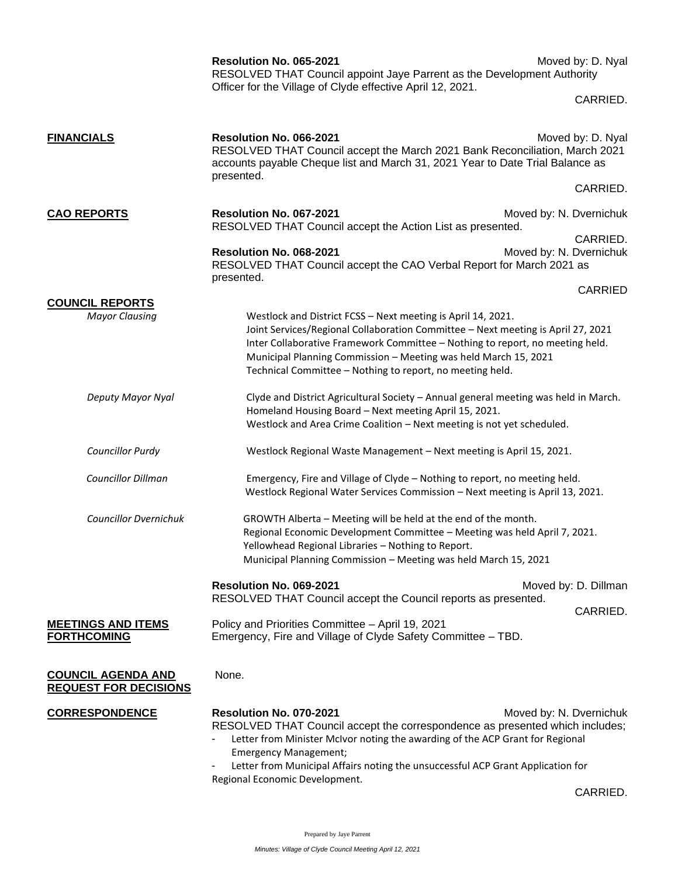|                                                                          | Resolution No. 065-2021<br>RESOLVED THAT Council appoint Jaye Parrent as the Development Authority                                                                                                                                                                                                                                                                | Moved by: D. Nyal                   |
|--------------------------------------------------------------------------|-------------------------------------------------------------------------------------------------------------------------------------------------------------------------------------------------------------------------------------------------------------------------------------------------------------------------------------------------------------------|-------------------------------------|
|                                                                          | Officer for the Village of Clyde effective April 12, 2021.                                                                                                                                                                                                                                                                                                        | CARRIED.                            |
| <b>FINANCIALS</b>                                                        | Resolution No. 066-2021<br>RESOLVED THAT Council accept the March 2021 Bank Reconciliation, March 2021<br>accounts payable Cheque list and March 31, 2021 Year to Date Trial Balance as<br>presented.                                                                                                                                                             | Moved by: D. Nyal                   |
|                                                                          |                                                                                                                                                                                                                                                                                                                                                                   | CARRIED.                            |
| <b>CAO REPORTS</b><br>Resolution No. 067-2021<br>Resolution No. 068-2021 | RESOLVED THAT Council accept the Action List as presented.                                                                                                                                                                                                                                                                                                        | Moved by: N. Dvernichuk             |
|                                                                          | RESOLVED THAT Council accept the CAO Verbal Report for March 2021 as<br>presented.                                                                                                                                                                                                                                                                                | CARRIED.<br>Moved by: N. Dvernichuk |
|                                                                          |                                                                                                                                                                                                                                                                                                                                                                   | <b>CARRIED</b>                      |
| <b>COUNCIL REPORTS</b><br><b>Mayor Clausing</b>                          | Westlock and District FCSS - Next meeting is April 14, 2021.<br>Joint Services/Regional Collaboration Committee - Next meeting is April 27, 2021<br>Inter Collaborative Framework Committee - Nothing to report, no meeting held.<br>Municipal Planning Commission - Meeting was held March 15, 2021<br>Technical Committee - Nothing to report, no meeting held. |                                     |
| Deputy Mayor Nyal                                                        | Clyde and District Agricultural Society - Annual general meeting was held in March.<br>Homeland Housing Board - Next meeting April 15, 2021.<br>Westlock and Area Crime Coalition - Next meeting is not yet scheduled.                                                                                                                                            |                                     |
| <b>Councillor Purdy</b>                                                  | Westlock Regional Waste Management - Next meeting is April 15, 2021.                                                                                                                                                                                                                                                                                              |                                     |
| Councillor Dillman                                                       | Emergency, Fire and Village of Clyde - Nothing to report, no meeting held.<br>Westlock Regional Water Services Commission - Next meeting is April 13, 2021.                                                                                                                                                                                                       |                                     |
| <b>Councillor Dvernichuk</b>                                             | GROWTH Alberta - Meeting will be held at the end of the month.<br>Regional Economic Development Committee - Meeting was held April 7, 2021.<br>Yellowhead Regional Libraries - Nothing to Report.<br>Municipal Planning Commission - Meeting was held March 15, 2021                                                                                              |                                     |
|                                                                          | Resolution No. 069-2021<br>RESOLVED THAT Council accept the Council reports as presented.                                                                                                                                                                                                                                                                         | Moved by: D. Dillman                |
| <b>MEETINGS AND ITEMS</b><br><b>FORTHCOMING</b>                          | Policy and Priorities Committee - April 19, 2021<br>Emergency, Fire and Village of Clyde Safety Committee - TBD.                                                                                                                                                                                                                                                  | CARRIED.                            |
| <b>COUNCIL AGENDA AND</b><br><b>REQUEST FOR DECISIONS</b>                | None.                                                                                                                                                                                                                                                                                                                                                             |                                     |
| <b>CORRESPONDENCE</b>                                                    | Resolution No. 070-2021<br>RESOLVED THAT Council accept the correspondence as presented which includes;<br>Letter from Minister McIvor noting the awarding of the ACP Grant for Regional                                                                                                                                                                          | Moved by: N. Dvernichuk             |
|                                                                          | <b>Emergency Management;</b><br>Letter from Municipal Affairs noting the unsuccessful ACP Grant Application for                                                                                                                                                                                                                                                   |                                     |
|                                                                          | Regional Economic Development.                                                                                                                                                                                                                                                                                                                                    | CARRIED.                            |